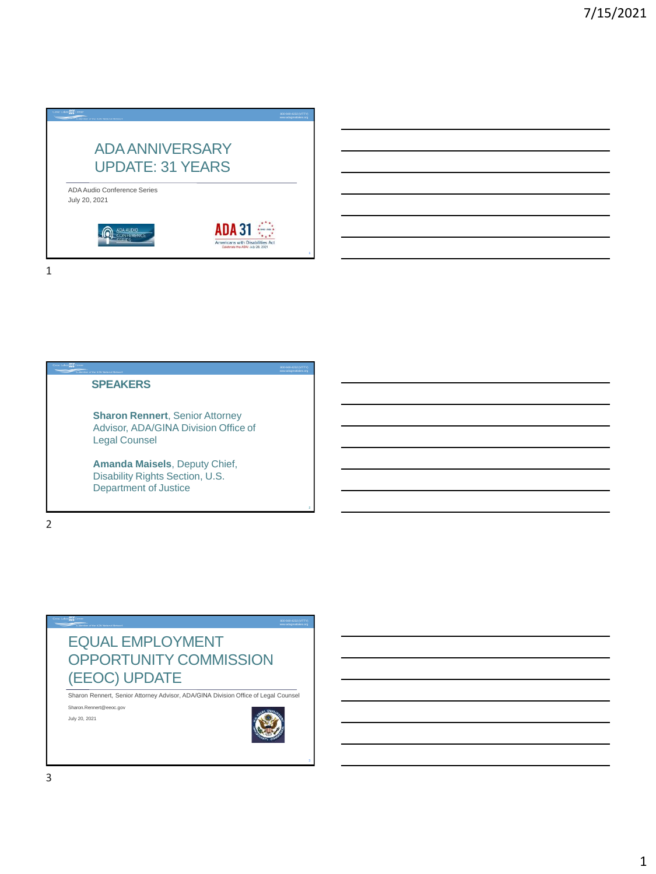

1

### **SPEAKERS**

**Sharon Rennert**, Senior Attorney Advisor, ADA/GINA Division Office of Legal Counsel

**Amanda Maisels**, Deputy Chief, Disability Rights Section, U.S. Department of Justice

2

# EQUAL EMPLOYMENT OPPORTUNITY COMMISSION (EEOC) UPDATE

Sharon Rennert, Senior Attorney Advisor, ADA/GINA Division Office of Legal Counsel Sharon.Rennert@eeoc.gov

July 20, 2021



www.adagreatlakes.org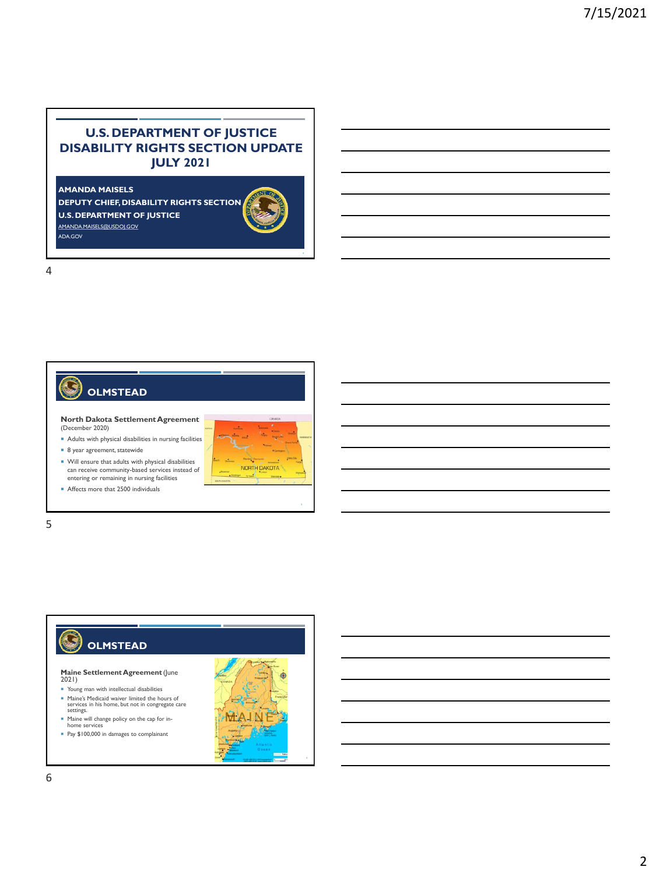## **U.S. DEPARTMENT OF JUSTICE DISABILITY RIGHTS SECTION UPDATE JULY 2021**

**AMANDA MAISELS**

**DEPUTY CHIEF, DISABILITY RIGHTS SECTION U.S. DEPARTMENT OF JUSTICE** [AMANDA.MAISELS@USDOJ.GOV](mailto:Amanda.Maisels@usdoj.gov) ADA.GOV





## **I OLMSTEAD**

**North Dakota Settlement Agreement**  (December 2020)

Adults with physical disabilities in nursing facilities

- 8 year agreement, statewide
- $\blacksquare$  Will ensure that adults with physical disabilities can receive community-based services instead of entering or remaining in nursing facilities
- Affects more that 2500 individuals



## 5

### G **OLMSTEAD**

**Maine Settlement Agreement** (June 2021)

- Young man with intellectual disabilities Maine's Medicaid waiver limited the hours of services in his home, but not in congregate care settings.
- Maine will change policy on the cap for in-home services
- Pay \$100,000 in damages to complainant

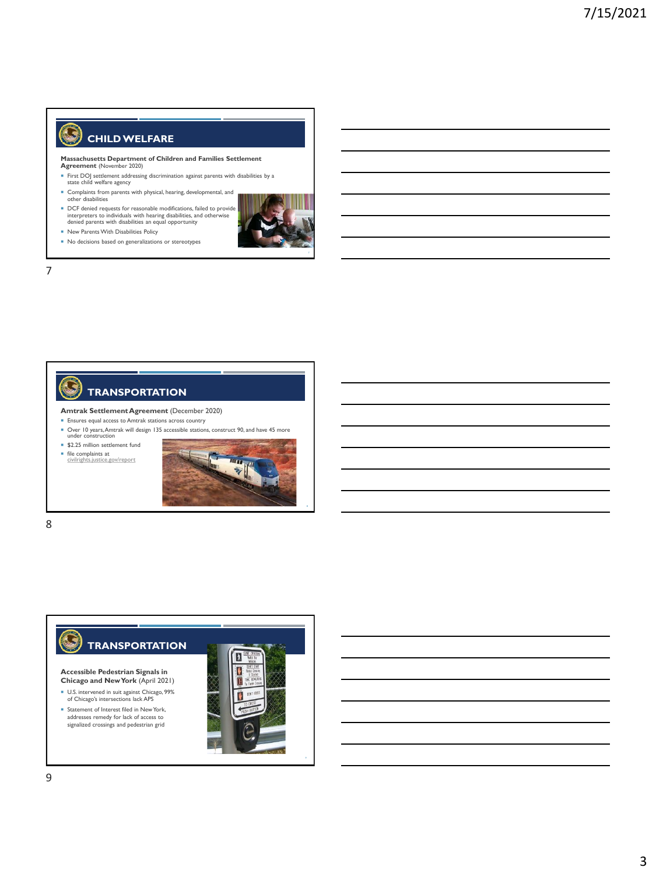## **CHILD WELFARE**

**Massachusetts Department of Children and Families Settlement Agreement** (November 2020)

- First DOJ settlement addressing discrimination against parents with disabilities by a state child welfare agency
- Complaints from parents with physical, hearing, developmental, and other disabilities
- DCF denied requests for reasonable modifications, failed to provide interpreters to individuals with hearing disabilities, and otherwise denied parents with disabilities an equal opportunity
- New Parents With Disabilities Policy
- No decisions based on generalizations or stereotypes



7

G



#### **Amtrak Settlement Agreement** (December 2020)

- **Ensures equal access to Amtrak stations across country**
- Over 10 years, Amtrak will design 135 accessible stations, construct 90, and have 45 more under construction

**\$2.25 million settlement fund** 

file complaints at [civilrights.justice.gov/report](https://civilrights.justice.gov/report)



8



**Accessible Pedestrian Signals in Chicago and New York** (April 2021)

- U.S. intervened in suit against Chicago, 99% of Chicago's intersections lack APS
- Statement of Interest filed in New York, addresses remedy for lack of access to signalized crossings and pedestrian grid

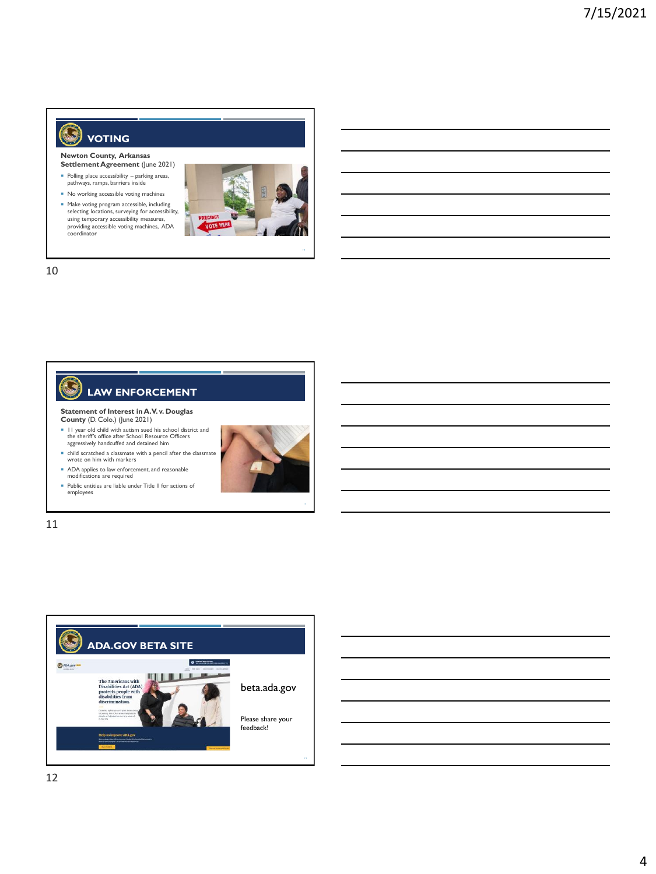#### G **VOTING**

**Newton County, Arkansas Settlement Agreement** (June 2021)

- Polling place accessibility parking areas, pathways, ramps, barriers inside
- No working accessible voting machines
- Make voting program accessible, including selecting locations, surveying for accessibility, using temporary accessibility measures, providing accessible voting machines, ADA coordinator



10



11

12